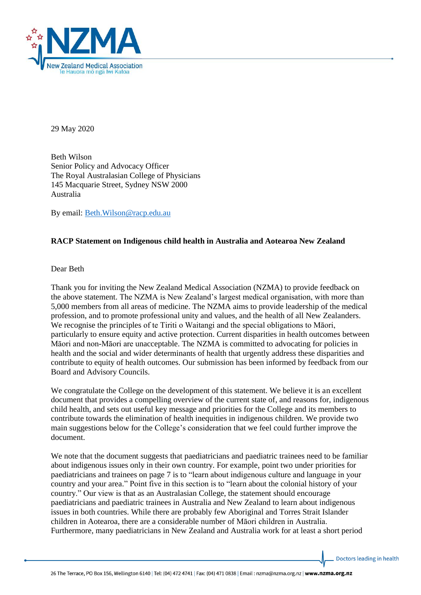

29 May 2020

Beth Wilson Senior Policy and Advocacy Officer The Royal Australasian College of Physicians 145 Macquarie Street, Sydney NSW 2000 Australia

By email: [Beth.Wilson@racp.edu.au](mailto:Beth.Wilson@racp.edu.au)

## **RACP Statement on Indigenous child health in Australia and Aotearoa New Zealand**

Dear Beth

Thank you for inviting the New Zealand Medical Association (NZMA) to provide feedback on the above statement. The NZMA is New Zealand's largest medical organisation, with more than 5,000 members from all areas of medicine. The NZMA aims to provide leadership of the medical profession, and to promote professional unity and values, and the health of all New Zealanders. We recognise the principles of te Tiriti o Waitangi and the special obligations to Māori, particularly to ensure equity and active protection. Current disparities in health outcomes between Māori and non-Māori are unacceptable. The NZMA is committed to advocating for policies in health and the social and wider determinants of health that urgently address these disparities and contribute to equity of health outcomes. Our submission has been informed by feedback from our Board and Advisory Councils.

We congratulate the College on the development of this statement. We believe it is an excellent document that provides a compelling overview of the current state of, and reasons for, indigenous child health, and sets out useful key message and priorities for the College and its members to contribute towards the elimination of health inequities in indigenous children. We provide two main suggestions below for the College's consideration that we feel could further improve the document.

We note that the document suggests that paediatricians and paediatric trainees need to be familiar about indigenous issues only in their own country. For example, point two under priorities for paediatricians and trainees on page 7 is to "learn about indigenous culture and language in your country and your area." Point five in this section is to "learn about the colonial history of your country." Our view is that as an Australasian College, the statement should encourage paediatricians and paediatric trainees in Australia and New Zealand to learn about indigenous issues in both countries. While there are probably few Aboriginal and Torres Strait Islander children in Aotearoa, there are a considerable number of Māori children in Australia. Furthermore, many paediatricians in New Zealand and Australia work for at least a short period

Doctors leading in health